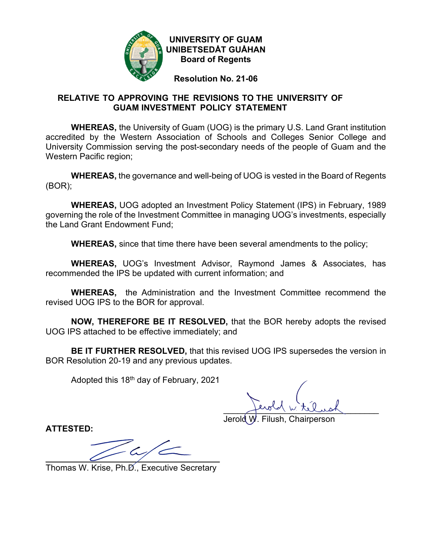

**UNIVERSITY OF GUAM UNIBETSEDÅT GUÅHAN Board of Regents**

**Resolution No. 21-06**

# **RELATIVE TO APPROVING THE REVISIONS TO THE UNIVERSITY OF GUAM INVESTMENT POLICY STATEMENT**

**WHEREAS,** the University of Guam (UOG) is the primary U.S. Land Grant institution accredited by the Western Association of Schools and Colleges Senior College and University Commission serving the post-secondary needs of the people of Guam and the Western Pacific region;

**WHEREAS,** the governance and well-being of UOG is vested in the Board of Regents (BOR);

**WHEREAS,** UOG adopted an Investment Policy Statement (IPS) in February, 1989 governing the role of the Investment Committee in managing UOG's investments, especially the Land Grant Endowment Fund;

**WHEREAS,** since that time there have been several amendments to the policy;

**WHEREAS,** UOG's Investment Advisor, Raymond James & Associates, has recommended the IPS be updated with current information; and

**WHEREAS,** the Administration and the Investment Committee recommend the revised UOG IPS to the BOR for approval.

**NOW, THEREFORE BE IT RESOLVED,** that the BOR hereby adopts the revised UOG IPS attached to be effective immediately; and

**BE IT FURTHER RESOLVED,** that this revised UOG IPS supersedes the version in BOR Resolution 20-19 and any previous updates.

Adopted this 18<sup>th</sup> day of February, 2021

 $f^{\text{target}}$   $\omega$  telust

Jerold W. Filush, Chairperson

**ATTESTED:**

 $\overline{\phantom{a}}$   $\overline{\phantom{a}}$   $\overline{\phantom{a}}$   $\overline{\phantom{a}}$   $\overline{\phantom{a}}$   $\overline{\phantom{a}}$   $\overline{\phantom{a}}$   $\overline{\phantom{a}}$   $\overline{\phantom{a}}$   $\overline{\phantom{a}}$   $\overline{\phantom{a}}$   $\overline{\phantom{a}}$   $\overline{\phantom{a}}$   $\overline{\phantom{a}}$   $\overline{\phantom{a}}$   $\overline{\phantom{a}}$   $\overline{\phantom{a}}$   $\overline{\phantom{a}}$   $\overline{\$ 

Thomas W. Krise, Ph.D., Executive Secretary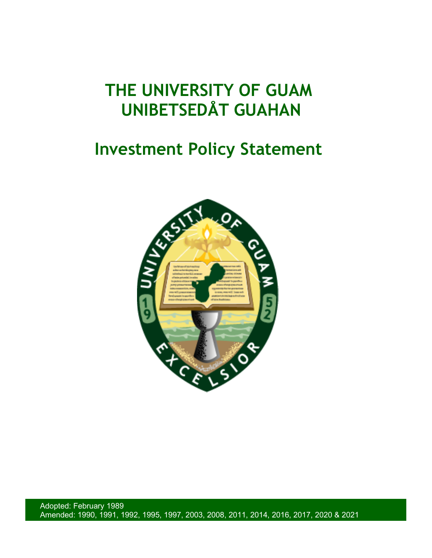# **THE UNIVERSITY OF GUAM UNIBETSEDÅT GUAHAN**

# **Investment Policy Statement**



Adopted: February 1989 Amended: 1990, 1991, 1992, 1995, 1997, 2003, 2008, 2011, 2014, 2016, 2017, 2020 & 2021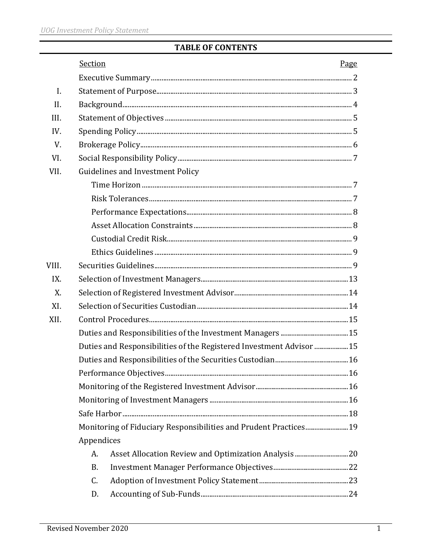# **TABLE OF CONTENTS**

|                | Section    |                                                                     | Page |  |  |
|----------------|------------|---------------------------------------------------------------------|------|--|--|
|                |            |                                                                     |      |  |  |
| $\mathbf{I}$ . |            |                                                                     |      |  |  |
| II.            |            |                                                                     |      |  |  |
| III.           |            |                                                                     |      |  |  |
| IV.            |            |                                                                     |      |  |  |
| V.             |            |                                                                     |      |  |  |
| VI.            |            |                                                                     |      |  |  |
| VII.           |            | <b>Guidelines and Investment Policy</b>                             |      |  |  |
|                |            |                                                                     |      |  |  |
|                |            |                                                                     |      |  |  |
|                |            |                                                                     |      |  |  |
|                |            |                                                                     |      |  |  |
|                |            |                                                                     |      |  |  |
|                |            |                                                                     |      |  |  |
| VIII.          |            |                                                                     |      |  |  |
| IX.            |            |                                                                     |      |  |  |
| X.             |            |                                                                     |      |  |  |
| XI.            |            |                                                                     |      |  |  |
| XII.           |            |                                                                     |      |  |  |
|                |            |                                                                     |      |  |  |
|                |            | Duties and Responsibilities of the Registered Investment Advisor 15 |      |  |  |
|                |            |                                                                     |      |  |  |
|                |            |                                                                     |      |  |  |
|                |            |                                                                     |      |  |  |
|                |            |                                                                     |      |  |  |
|                |            |                                                                     |      |  |  |
|                |            | Monitoring of Fiduciary Responsibilities and Prudent Practices 19   |      |  |  |
|                | Appendices |                                                                     |      |  |  |
|                | A.         |                                                                     |      |  |  |
|                | <b>B.</b>  |                                                                     |      |  |  |
|                | C.         |                                                                     |      |  |  |
|                | D.         |                                                                     |      |  |  |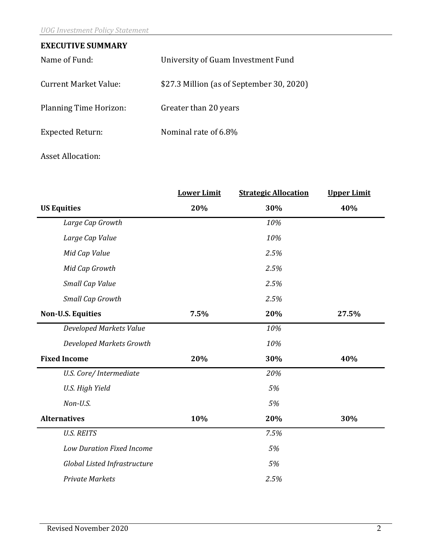| <b>EXECUTIVE SUMMARY</b>      |                                           |  |  |  |  |
|-------------------------------|-------------------------------------------|--|--|--|--|
| Name of Fund:                 | University of Guam Investment Fund        |  |  |  |  |
| <b>Current Market Value:</b>  | \$27.3 Million (as of September 30, 2020) |  |  |  |  |
| <b>Planning Time Horizon:</b> | Greater than 20 years                     |  |  |  |  |
| <b>Expected Return:</b>       | Nominal rate of 6.8%                      |  |  |  |  |
|                               |                                           |  |  |  |  |

# Asset Allocation:

|                                  | <b>Lower Limit</b> | <b>Strategic Allocation</b> | <b>Upper Limit</b> |  |
|----------------------------------|--------------------|-----------------------------|--------------------|--|
| <b>US Equities</b>               | 20%                | 30%                         | 40%                |  |
| Large Cap Growth                 |                    | 10%                         |                    |  |
| Large Cap Value                  |                    | 10%                         |                    |  |
| Mid Cap Value                    |                    | 2.5%                        |                    |  |
| Mid Cap Growth                   |                    | 2.5%                        |                    |  |
| Small Cap Value                  |                    | 2.5%                        |                    |  |
| Small Cap Growth                 |                    | 2.5%                        |                    |  |
| <b>Non-U.S. Equities</b>         | 7.5%               | 20%                         | 27.5%              |  |
| <b>Developed Markets Value</b>   |                    | 10%                         |                    |  |
| Developed Markets Growth         |                    | 10%                         |                    |  |
| <b>Fixed Income</b>              | 20%                | 30%                         | 40%                |  |
| U.S. Core/ Intermediate          |                    | 20%                         |                    |  |
| U.S. High Yield                  |                    | 5%                          |                    |  |
| Non-U.S.                         |                    | 5%                          |                    |  |
| <b>Alternatives</b>              | 10%                | 20%                         | 30%                |  |
| <b>U.S. REITS</b>                |                    | 7.5%                        |                    |  |
| <b>Low Duration Fixed Income</b> |                    | 5%                          |                    |  |
| Global Listed Infrastructure     |                    | 5%                          |                    |  |
| <b>Private Markets</b>           |                    | 2.5%                        |                    |  |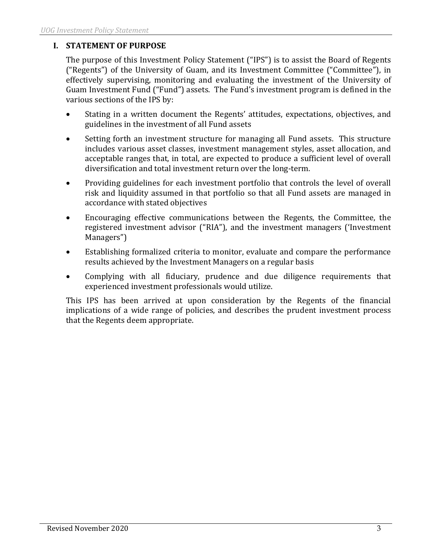# **I. STATEMENT OF PURPOSE**

The purpose of this Investment Policy Statement ("IPS") is to assist the Board of Regents ("Regents") of the University of Guam, and its Investment Committee ("Committee"), in effectively supervising, monitoring and evaluating the investment of the University of Guam Investment Fund ("Fund") assets. The Fund's investment program is defined in the various sections of the IPS by:

- Stating in a written document the Regents' attitudes, expectations, objectives, and guidelines in the investment of all Fund assets
- Setting forth an investment structure for managing all Fund assets. This structure includes various asset classes, investment management styles, asset allocation, and acceptable ranges that, in total, are expected to produce a sufficient level of overall diversification and total investment return over the long-term.
- Providing guidelines for each investment portfolio that controls the level of overall risk and liquidity assumed in that portfolio so that all Fund assets are managed in accordance with stated objectives
- Encouraging effective communications between the Regents, the Committee, the registered investment advisor ("RIA"), and the investment managers ('Investment Managers")
- Establishing formalized criteria to monitor, evaluate and compare the performance results achieved by the Investment Managers on a regular basis
- Complying with all fiduciary, prudence and due diligence requirements that experienced investment professionals would utilize.

This IPS has been arrived at upon consideration by the Regents of the financial implications of a wide range of policies, and describes the prudent investment process that the Regents deem appropriate.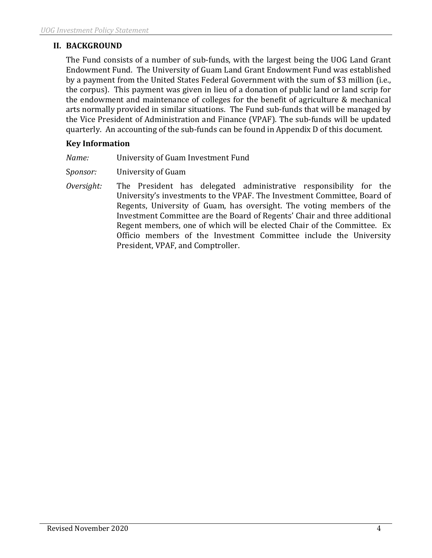# **II. BACKGROUND**

The Fund consists of a number of sub-funds, with the largest being the UOG Land Grant Endowment Fund. The University of Guam Land Grant Endowment Fund was established by a payment from the United States Federal Government with the sum of \$3 million (i.e., the corpus). This payment was given in lieu of a donation of public land or land scrip for the endowment and maintenance of colleges for the benefit of agriculture & mechanical arts normally provided in similar situations. The Fund sub-funds that will be managed by the Vice President of Administration and Finance (VPAF). The sub-funds will be updated quarterly. An accounting of the sub-funds can be found in Appendix D of this document.

# **Key Information**

| University of Guam Investment Fund |
|------------------------------------|
|                                    |

S*ponsor:* University of Guam

*Oversight:* The President has delegated administrative responsibility for the University's investments to the VPAF. The Investment Committee, Board of Regents, University of Guam, has oversight. The voting members of the Investment Committee are the Board of Regents' Chair and three additional Regent members, one of which will be elected Chair of the Committee. Ex Officio members of the Investment Committee include the University President, VPAF, and Comptroller.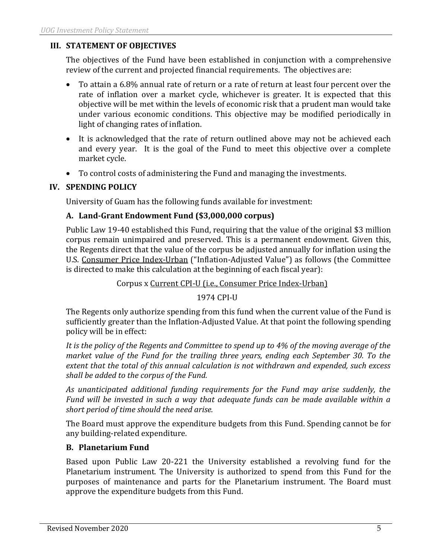# **III. STATEMENT OF OBJECTIVES**

The objectives of the Fund have been established in conjunction with a comprehensive review of the current and projected financial requirements. The objectives are:

- To attain a 6.8% annual rate of return or a rate of return at least four percent over the rate of inflation over a market cycle, whichever is greater. It is expected that this objective will be met within the levels of economic risk that a prudent man would take under various economic conditions. This objective may be modified periodically in light of changing rates of inflation.
- It is acknowledged that the rate of return outlined above may not be achieved each and every year. It is the goal of the Fund to meet this objective over a complete market cycle.
- To control costs of administering the Fund and managing the investments.

## **IV. SPENDING POLICY**

University of Guam has the following funds available for investment:

## **A. Land-Grant Endowment Fund (\$3,000,000 corpus)**

Public Law 19-40 established this Fund, requiring that the value of the original \$3 million corpus remain unimpaired and preserved. This is a permanent endowment. Given this, the Regents direct that the value of the corpus be adjusted annually for inflation using the U.S. Consumer Price Index-Urban ("Inflation-Adjusted Value") as follows (the Committee is directed to make this calculation at the beginning of each fiscal year):

Corpus x Current CPI-U (i.e., Consumer Price Index-Urban)

1974 CPI-U

The Regents only authorize spending from this fund when the current value of the Fund is sufficiently greater than the Inflation-Adjusted Value. At that point the following spending policy will be in effect:

*It is the policy of the Regents and Committee to spend up to 4% of the moving average of the market value of the Fund for the trailing three years, ending each September 30. To the extent that the total of this annual calculation is not withdrawn and expended, such excess shall be added to the corpus of the Fund.*

*As unanticipated additional funding requirements for the Fund may arise suddenly, the Fund will be invested in such a way that adequate funds can be made available within a short period of time should the need arise.*

The Board must approve the expenditure budgets from this Fund. Spending cannot be for any building-related expenditure.

### **B. Planetarium Fund**

Based upon Public Law 20-221 the University established a revolving fund for the Planetarium instrument. The University is authorized to spend from this Fund for the purposes of maintenance and parts for the Planetarium instrument. The Board must approve the expenditure budgets from this Fund.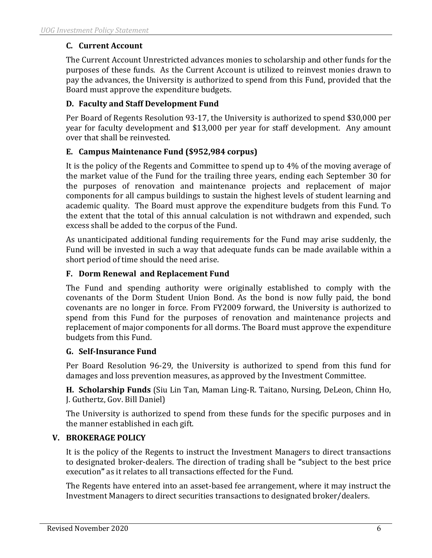# **C. Current Account**

The Current Account Unrestricted advances monies to scholarship and other funds for the purposes of these funds. As the Current Account is utilized to reinvest monies drawn to pay the advances, the University is authorized to spend from this Fund, provided that the Board must approve the expenditure budgets.

# **D. Faculty and Staff Development Fund**

Per Board of Regents Resolution 93-17, the University is authorized to spend \$30,000 per year for faculty development and \$13,000 per year for staff development. Any amount over that shall be reinvested.

## **E. Campus Maintenance Fund (\$952,984 corpus)**

It is the policy of the Regents and Committee to spend up to 4% of the moving average of the market value of the Fund for the trailing three years, ending each September 30 for the purposes of renovation and maintenance projects and replacement of major components for all campus buildings to sustain the highest levels of student learning and academic quality. The Board must approve the expenditure budgets from this Fund. To the extent that the total of this annual calculation is not withdrawn and expended, such excess shall be added to the corpus of the Fund.

As unanticipated additional funding requirements for the Fund may arise suddenly, the Fund will be invested in such a way that adequate funds can be made available within a short period of time should the need arise.

## **F. Dorm Renewal and Replacement Fund**

The Fund and spending authority were originally established to comply with the covenants of the Dorm Student Union Bond. As the bond is now fully paid, the bond covenants are no longer in force. From FY2009 forward, the University is authorized to spend from this Fund for the purposes of renovation and maintenance projects and replacement of major components for all dorms. The Board must approve the expenditure budgets from this Fund.

### **G. Self-Insurance Fund**

Per Board Resolution 96-29, the University is authorized to spend from this fund for damages and loss prevention measures, as approved by the Investment Committee.

**H. Scholarship Funds** (Siu Lin Tan, Maman Ling-R. Taitano, Nursing, DeLeon, Chinn Ho, J. Guthertz, Gov. Bill Daniel)

The University is authorized to spend from these funds for the specific purposes and in the manner established in each gift.

### **V. BROKERAGE POLICY**

It is the policy of the Regents to instruct the Investment Managers to direct transactions to designated broker-dealers. The direction of trading shall be **"**subject to the best price execution**"** as it relates to all transactions effected for the Fund.

The Regents have entered into an asset-based fee arrangement, where it may instruct the Investment Managers to direct securities transactions to designated broker/dealers.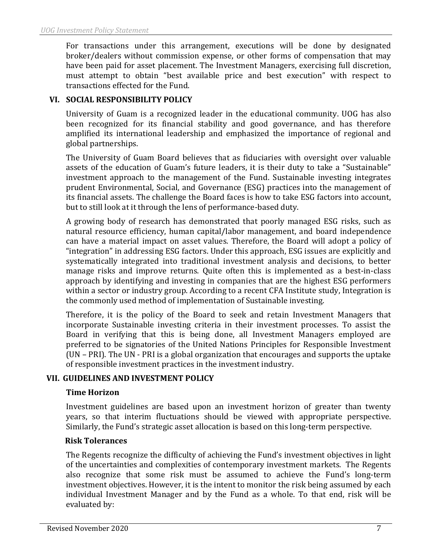For transactions under this arrangement, executions will be done by designated broker/dealers without commission expense, or other forms of compensation that may have been paid for asset placement. The Investment Managers, exercising full discretion, must attempt to obtain "best available price and best execution" with respect to transactions effected for the Fund.

## **VI. SOCIAL RESPONSIBILITY POLICY**

University of Guam is a recognized leader in the educational community. UOG has also been recognized for its financial stability and good governance, and has therefore amplified its international leadership and emphasized the importance of regional and global partnerships.

The University of Guam Board believes that as fiduciaries with oversight over valuable assets of the education of Guam's future leaders, it is their duty to take a "Sustainable" investment approach to the management of the Fund. Sustainable investing integrates prudent Environmental, Social, and Governance (ESG) practices into the management of its financial assets. The challenge the Board faces is how to take ESG factors into account, but to still look at it through the lens of performance-based duty.

A growing body of research has demonstrated that poorly managed ESG risks, such as natural resource efficiency, human capital/labor management, and board independence can have a material impact on asset values. Therefore, the Board will adopt a policy of "integration" in addressing ESG factors. Under this approach, ESG issues are explicitly and systematically integrated into traditional investment analysis and decisions, to better manage risks and improve returns. Quite often this is implemented as a best-in-class approach by identifying and investing in companies that are the highest ESG performers within a sector or industry group. According to a recent CFA Institute study, Integration is the commonly used method of implementation of Sustainable investing.

Therefore, it is the policy of the Board to seek and retain Investment Managers that incorporate Sustainable investing criteria in their investment processes. To assist the Board in verifying that this is being done, all Investment Managers employed are preferred to be signatories of the United Nations Principles for Responsible Investment (UN – PRI). The UN - PRI is a global organization that encourages and supports the uptake of responsible investment practices in the investment industry.

### **VII. GUIDELINES AND INVESTMENT POLICY**

### **Time Horizon**

Investment guidelines are based upon an investment horizon of greater than twenty years, so that interim fluctuations should be viewed with appropriate perspective. Similarly, the Fund's strategic asset allocation is based on this long-term perspective.

### **Risk Tolerances**

The Regents recognize the difficulty of achieving the Fund's investment objectives in light of the uncertainties and complexities of contemporary investment markets. The Regents also recognize that some risk must be assumed to achieve the Fund's long-term investment objectives. However, it is the intent to monitor the risk being assumed by each individual Investment Manager and by the Fund as a whole. To that end, risk will be evaluated by: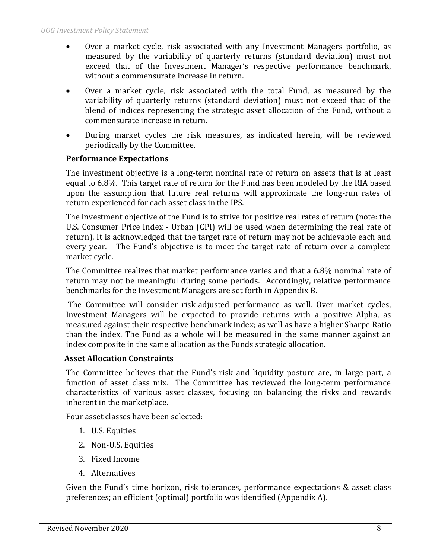- Over a market cycle, risk associated with any Investment Managers portfolio, as measured by the variability of quarterly returns (standard deviation) must not exceed that of the Investment Manager's respective performance benchmark, without a commensurate increase in return.
- Over a market cycle, risk associated with the total Fund, as measured by the variability of quarterly returns (standard deviation) must not exceed that of the blend of indices representing the strategic asset allocation of the Fund, without a commensurate increase in return.
- During market cycles the risk measures, as indicated herein, will be reviewed periodically by the Committee.

# **Performance Expectations**

The investment objective is a long-term nominal rate of return on assets that is at least equal to 6.8%. This target rate of return for the Fund has been modeled by the RIA based upon the assumption that future real returns will approximate the long-run rates of return experienced for each asset class in the IPS.

The investment objective of the Fund is to strive for positive real rates of return (note: the U.S. Consumer Price Index - Urban (CPI) will be used when determining the real rate of return). It is acknowledged that the target rate of return may not be achievable each and every year. The Fund's objective is to meet the target rate of return over a complete market cycle.

The Committee realizes that market performance varies and that a 6.8% nominal rate of return may not be meaningful during some periods. Accordingly, relative performance benchmarks for the Investment Managers are set forth in Appendix B.

 The Committee will consider risk-adjusted performance as well. Over market cycles, Investment Managers will be expected to provide returns with a positive Alpha, as measured against their respective benchmark index; as well as have a higher Sharpe Ratio than the index. The Fund as a whole will be measured in the same manner against an index composite in the same allocation as the Funds strategic allocation.

### **Asset Allocation Constraints**

The Committee believes that the Fund's risk and liquidity posture are, in large part, a function of asset class mix. The Committee has reviewed the long-term performance characteristics of various asset classes, focusing on balancing the risks and rewards inherent in the marketplace.

Four asset classes have been selected:

- 1. U.S. Equities
- 2. Non-U.S. Equities
- 3. Fixed Income
- 4. Alternatives

Given the Fund's time horizon, risk tolerances, performance expectations & asset class preferences; an efficient (optimal) portfolio was identified (Appendix A).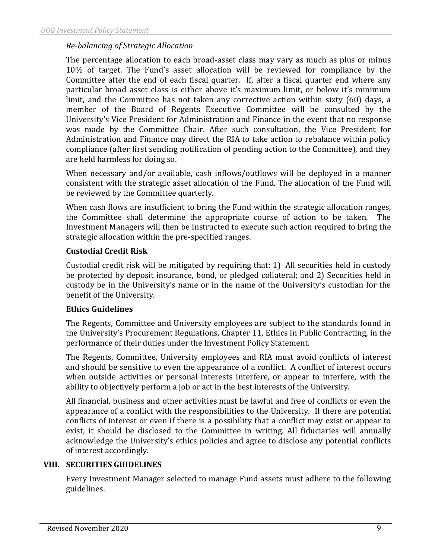## *Re-balancing of Strategic Allocation*

The percentage allocation to each broad-asset class may vary as much as plus or minus 10% of target. The Fund's asset allocation will be reviewed for compliance by the Committee after the end of each fiscal quarter. If, after a fiscal quarter end where any particular broad asset class is either above it's maximum limit, or below it's minimum limit, and the Committee has not taken any corrective action within sixty (60) days, a member of the Board of Regents Executive Committee will be consulted by the University's Vice President for Administration and Finance in the event that no response was made by the Committee Chair. After such consultation, the Vice President for Administration and Finance may direct the RIA to take action to rebalance within policy compliance (after first sending notification of pending action to the Committee), and they are held harmless for doing so.

When necessary and/or available, cash inflows/outflows will be deployed in a manner consistent with the strategic asset allocation of the Fund. The allocation of the Fund will be reviewed by the Committee quarterly.

When cash flows are insufficient to bring the Fund within the strategic allocation ranges, the Committee shall determine the appropriate course of action to be taken. The Investment Managers will then be instructed to execute such action required to bring the strategic allocation within the pre-specified ranges.

### **Custodial Credit Risk**

Custodial credit risk will be mitigated by requiring that: 1) All securities held in custody be protected by deposit insurance, bond, or pledged collateral; and 2) Securities held in custody be in the University's name or in the name of the University's custodian for the benefit of the University.

### **Ethics Guidelines**

The Regents, Committee and University employees are subject to the standards found in the University's Procurement Regulations, Chapter 11, Ethics in Public Contracting, in the performance of their duties under the Investment Policy Statement.

The Regents, Committee, University employees and RIA must avoid conflicts of interest and should be sensitive to even the appearance of a conflict. A conflict of interest occurs when outside activities or personal interests interfere, or appear to interfere, with the ability to objectively perform a job or act in the best interests of the University.

All financial, business and other activities must be lawful and free of conflicts or even the appearance of a conflict with the responsibilities to the University. If there are potential conflicts of interest or even if there is a possibility that a conflict may exist or appear to exist, it should be disclosed to the Committee in writing. All fiduciaries will annually acknowledge the University's ethics policies and agree to disclose any potential conflicts of interest accordingly.

# **VIII. SECURITIES GUIDELINES**

Every Investment Manager selected to manage Fund assets must adhere to the following guidelines.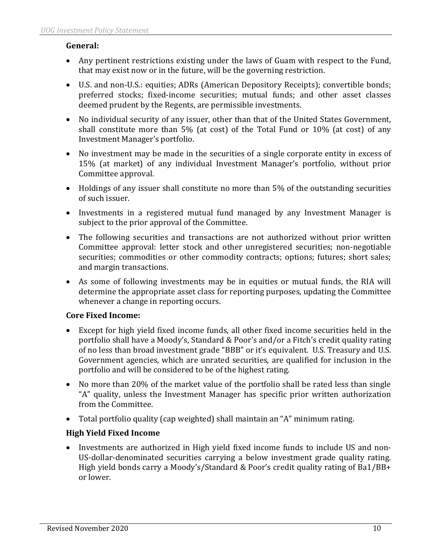# **General:**

- Any pertinent restrictions existing under the laws of Guam with respect to the Fund, that may exist now or in the future, will be the governing restriction.
- U.S. and non-U.S.: equities; ADRs (American Depository Receipts); convertible bonds; preferred stocks; fixed-income securities; mutual funds; and other asset classes deemed prudent by the Regents, are permissible investments.
- No individual security of any issuer, other than that of the United States Government, shall constitute more than 5% (at cost) of the Total Fund or 10% (at cost) of any Investment Manager's portfolio.
- No investment may be made in the securities of a single corporate entity in excess of 15% (at market) of any individual Investment Manager's portfolio, without prior Committee approval.
- Holdings of any issuer shall constitute no more than 5% of the outstanding securities of such issuer.
- Investments in a registered mutual fund managed by any Investment Manager is subject to the prior approval of the Committee.
- The following securities and transactions are not authorized without prior written Committee approval: letter stock and other unregistered securities; non-negotiable securities; commodities or other commodity contracts; options; futures; short sales; and margin transactions.
- As some of following investments may be in equities or mutual funds, the RIA will determine the appropriate asset class for reporting purposes, updating the Committee whenever a change in reporting occurs.

# **Core Fixed Income:**

- Except for high yield fixed income funds, all other fixed income securities held in the portfolio shall have a Moody's, Standard & Poor's and/or a Fitch's credit quality rating of no less than broad investment grade "BBB" or it's equivalent. U.S. Treasury and U.S. Government agencies, which are unrated securities, are qualified for inclusion in the portfolio and will be considered to be of the highest rating.
- No more than 20% of the market value of the portfolio shall be rated less than single "A" quality, unless the Investment Manager has specific prior written authorization from the Committee.
- Total portfolio quality (cap weighted) shall maintain an "A" minimum rating.

# **High Yield Fixed Income**

• Investments are authorized in High yield fixed income funds to include US and non-US-dollar-denominated securities carrying a below investment grade quality rating. High yield bonds carry a Moody's/Standard & Poor's credit quality rating of Ba1/BB+ or lower.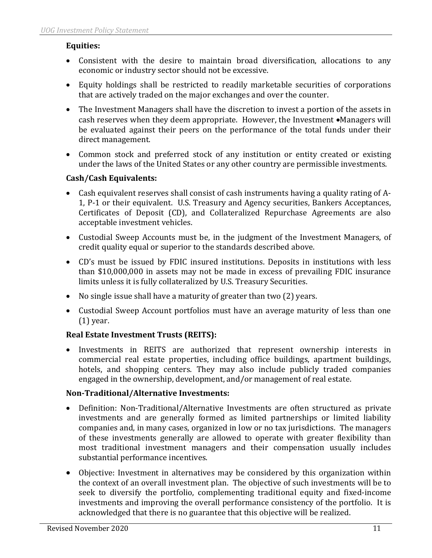# **Equities:**

- Consistent with the desire to maintain broad diversification, allocations to any economic or industry sector should not be excessive.
- Equity holdings shall be restricted to readily marketable securities of corporations that are actively traded on the major exchanges and over the counter.
- The Investment Managers shall have the discretion to invest a portion of the assets in cash reserves when they deem appropriate. However, the Investment •Managers will be evaluated against their peers on the performance of the total funds under their direct management.
- Common stock and preferred stock of any institution or entity created or existing under the laws of the United States or any other country are permissible investments.

# **Cash/Cash Equivalents:**

- Cash equivalent reserves shall consist of cash instruments having a quality rating of A-1, P-1 or their equivalent. U.S. Treasury and Agency securities, Bankers Acceptances, Certificates of Deposit (CD), and Collateralized Repurchase Agreements are also acceptable investment vehicles.
- Custodial Sweep Accounts must be, in the judgment of the Investment Managers, of credit quality equal or superior to the standards described above.
- CD's must be issued by FDIC insured institutions. Deposits in institutions with less than \$10,000,000 in assets may not be made in excess of prevailing FDIC insurance limits unless it is fully collateralized by U.S. Treasury Securities.
- No single issue shall have a maturity of greater than two (2) years.
- Custodial Sweep Account portfolios must have an average maturity of less than one (1) year.

# **Real Estate Investment Trusts (REITS):**

• Investments in REITS are authorized that represent ownership interests in commercial real estate properties, including office buildings, apartment buildings, hotels, and shopping centers. They may also include publicly traded companies engaged in the ownership, development, and/or management of real estate.

# **Non-Traditional/Alternative Investments:**

- Definition: Non-Traditional/Alternative Investments are often structured as private investments and are generally formed as limited partnerships or limited liability companies and, in many cases, organized in low or no tax jurisdictions. The managers of these investments generally are allowed to operate with greater flexibility than most traditional investment managers and their compensation usually includes substantial performance incentives.
- Objective: Investment in alternatives may be considered by this organization within the context of an overall investment plan. The objective of such investments will be to seek to diversify the portfolio, complementing traditional equity and fixed-income investments and improving the overall performance consistency of the portfolio. It is acknowledged that there is no guarantee that this objective will be realized.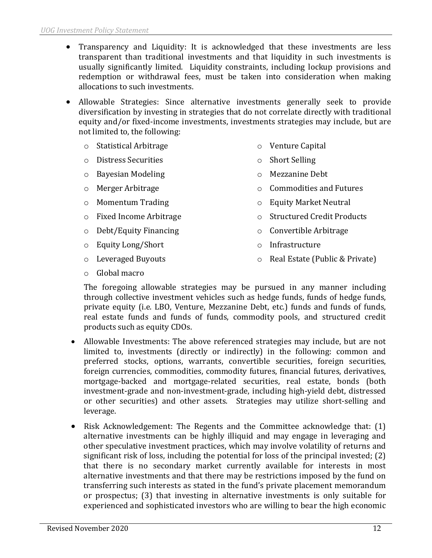- Transparency and Liquidity: It is acknowledged that these investments are less transparent than traditional investments and that liquidity in such investments is usually significantly limited. Liquidity constraints, including lockup provisions and redemption or withdrawal fees, must be taken into consideration when making allocations to such investments.
- Allowable Strategies: Since alternative investments generally seek to provide diversification by investing in strategies that do not correlate directly with traditional equity and/or fixed-income investments, investments strategies may include, but are not limited to, the following:
	- o Statistical Arbitrage
	- o Distress Securities
	- o Bayesian Modeling
	- o Merger Arbitrage
	- o Momentum Trading
	- o Fixed Income Arbitrage
	- o Debt/Equity Financing
	- o Equity Long/Short
	- o Leveraged Buyouts

o Mezzanine Debt

o Venture Capital

o Short Selling

- o Commodities and Futures
- o Equity Market Neutral
- o Structured Credit Products
- o Convertible Arbitrage
- o Infrastructure
- o Real Estate (Public & Private)

o Global macro

The foregoing allowable strategies may be pursued in any manner including through collective investment vehicles such as hedge funds, funds of hedge funds, private equity (i.e. LBO, Venture, Mezzanine Debt, etc.) funds and funds of funds, real estate funds and funds of funds, commodity pools, and structured credit products such as equity CDOs.

- Allowable Investments: The above referenced strategies may include, but are not limited to, investments (directly or indirectly) in the following: common and preferred stocks, options, warrants, convertible securities, foreign securities, foreign currencies, commodities, commodity futures, financial futures, derivatives, mortgage-backed and mortgage-related securities, real estate, bonds (both investment-grade and non-investment-grade, including high-yield debt, distressed or other securities) and other assets. Strategies may utilize short-selling and leverage.
- Risk Acknowledgement: The Regents and the Committee acknowledge that: (1) alternative investments can be highly illiquid and may engage in leveraging and other speculative investment practices, which may involve volatility of returns and significant risk of loss, including the potential for loss of the principal invested; (2) that there is no secondary market currently available for interests in most alternative investments and that there may be restrictions imposed by the fund on transferring such interests as stated in the fund's private placement memorandum or prospectus; (3) that investing in alternative investments is only suitable for experienced and sophisticated investors who are willing to bear the high economic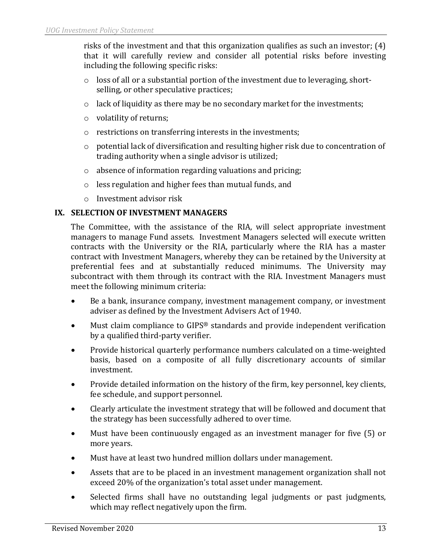risks of the investment and that this organization qualifies as such an investor; (4) that it will carefully review and consider all potential risks before investing including the following specific risks:

- $\circ$  loss of all or a substantial portion of the investment due to leveraging, shortselling, or other speculative practices;
- o lack of liquidity as there may be no secondary market for the investments;
- o volatility of returns;
- o restrictions on transferring interests in the investments;
- o potential lack of diversification and resulting higher risk due to concentration of trading authority when a single advisor is utilized;
- o absence of information regarding valuations and pricing;
- o less regulation and higher fees than mutual funds, and
- o Investment advisor risk

## **IX. SELECTION OF INVESTMENT MANAGERS**

The Committee, with the assistance of the RIA, will select appropriate investment managers to manage Fund assets. Investment Managers selected will execute written contracts with the University or the RIA, particularly where the RIA has a master contract with Investment Managers, whereby they can be retained by the University at preferential fees and at substantially reduced minimums. The University may subcontract with them through its contract with the RIA. Investment Managers must meet the following minimum criteria:

- Be a bank, insurance company, investment management company, or investment adviser as defined by the Investment Advisers Act of 1940.
- Must claim compliance to GIPS® standards and provide independent verification by a qualified third-party verifier.
- Provide historical quarterly performance numbers calculated on a time-weighted basis, based on a composite of all fully discretionary accounts of similar investment.
- Provide detailed information on the history of the firm, key personnel, key clients, fee schedule, and support personnel.
- Clearly articulate the investment strategy that will be followed and document that the strategy has been successfully adhered to over time.
- Must have been continuously engaged as an investment manager for five (5) or more years.
- Must have at least two hundred million dollars under management.
- Assets that are to be placed in an investment management organization shall not exceed 20% of the organization's total asset under management.
- Selected firms shall have no outstanding legal judgments or past judgments, which may reflect negatively upon the firm.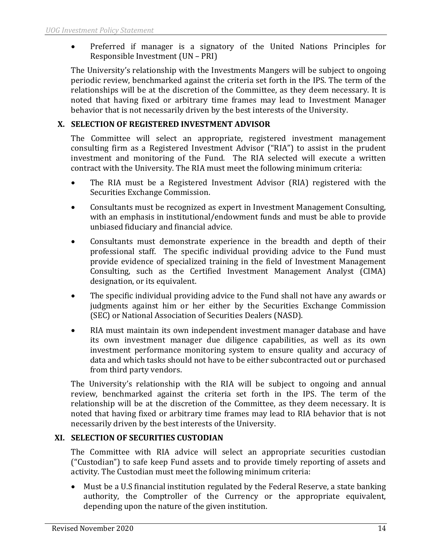• Preferred if manager is a signatory of the United Nations Principles for Responsible Investment (UN – PRI)

The University's relationship with the Investments Mangers will be subject to ongoing periodic review, benchmarked against the criteria set forth in the IPS. The term of the relationships will be at the discretion of the Committee, as they deem necessary. It is noted that having fixed or arbitrary time frames may lead to Investment Manager behavior that is not necessarily driven by the best interests of the University.

# **X. SELECTION OF REGISTERED INVESTMENT ADVISOR**

The Committee will select an appropriate, registered investment management consulting firm as a Registered Investment Advisor ("RIA") to assist in the prudent investment and monitoring of the Fund. The RIA selected will execute a written contract with the University. The RIA must meet the following minimum criteria:

- The RIA must be a Registered Investment Advisor (RIA) registered with the Securities Exchange Commission.
- Consultants must be recognized as expert in Investment Management Consulting, with an emphasis in institutional/endowment funds and must be able to provide unbiased fiduciary and financial advice.
- Consultants must demonstrate experience in the breadth and depth of their professional staff. The specific individual providing advice to the Fund must provide evidence of specialized training in the field of Investment Management Consulting, such as the Certified Investment Management Analyst (CIMA) designation, or its equivalent.
- The specific individual providing advice to the Fund shall not have any awards or judgments against him or her either by the Securities Exchange Commission (SEC) or National Association of Securities Dealers (NASD).
- RIA must maintain its own independent investment manager database and have its own investment manager due diligence capabilities, as well as its own investment performance monitoring system to ensure quality and accuracy of data and which tasks should not have to be either subcontracted out or purchased from third party vendors.

The University's relationship with the RIA will be subject to ongoing and annual review, benchmarked against the criteria set forth in the IPS. The term of the relationship will be at the discretion of the Committee, as they deem necessary. It is noted that having fixed or arbitrary time frames may lead to RIA behavior that is not necessarily driven by the best interests of the University.

# **XI. SELECTION OF SECURITIES CUSTODIAN**

The Committee with RIA advice will select an appropriate securities custodian ("Custodian") to safe keep Fund assets and to provide timely reporting of assets and activity. The Custodian must meet the following minimum criteria:

• Must be a U.S financial institution regulated by the Federal Reserve, a state banking authority, the Comptroller of the Currency or the appropriate equivalent, depending upon the nature of the given institution.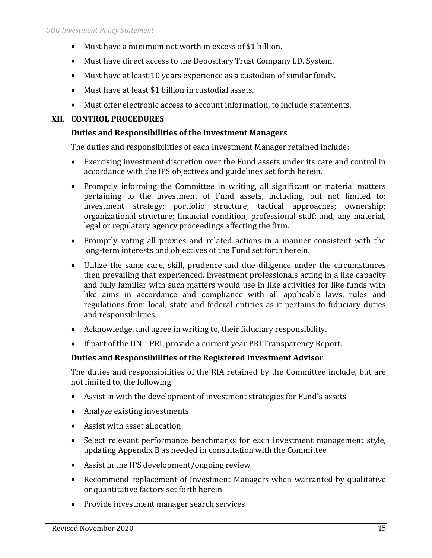- Must have a minimum net worth in excess of \$1 billion.
- Must have direct access to the Depositary Trust Company I.D. System.
- Must have at least 10 years experience as a custodian of similar funds.
- Must have at least \$1 billion in custodial assets.
- Must offer electronic access to account information, to include statements.

## **XII. CONTROL PROCEDURES**

## **Duties and Responsibilities of the Investment Managers**

The duties and responsibilities of each Investment Manager retained include:

- Exercising investment discretion over the Fund assets under its care and control in accordance with the IPS objectives and guidelines set forth herein.
- Promptly informing the Committee in writing, all significant or material matters pertaining to the investment of Fund assets, including, but not limited to: investment strategy; portfolio structure; tactical approaches; ownership; organizational structure; financial condition; professional staff; and, any material, legal or regulatory agency proceedings affecting the firm.
- Promptly voting all proxies and related actions in a manner consistent with the long-term interests and objectives of the Fund set forth herein.
- Utilize the same care, skill, prudence and due diligence under the circumstances then prevailing that experienced, investment professionals acting in a like capacity and fully familiar with such matters would use in like activities for like funds with like aims in accordance and compliance with all applicable laws, rules and regulations from local, state and federal entities as it pertains to fiduciary duties and responsibilities.
- Acknowledge, and agree in writing to, their fiduciary responsibility.
- If part of the UN PRI, provide a current year PRI Transparency Report.

# **Duties and Responsibilities of the Registered Investment Advisor**

The duties and responsibilities of the RIA retained by the Committee include, but are not limited to, the following:

- Assist in with the development of investment strategies for Fund's assets
- Analyze existing investments
- Assist with asset allocation
- Select relevant performance benchmarks for each investment management style, updating Appendix B as needed in consultation with the Committee
- Assist in the IPS development/ongoing review
- Recommend replacement of Investment Managers when warranted by qualitative or quantitative factors set forth herein
- Provide investment manager search services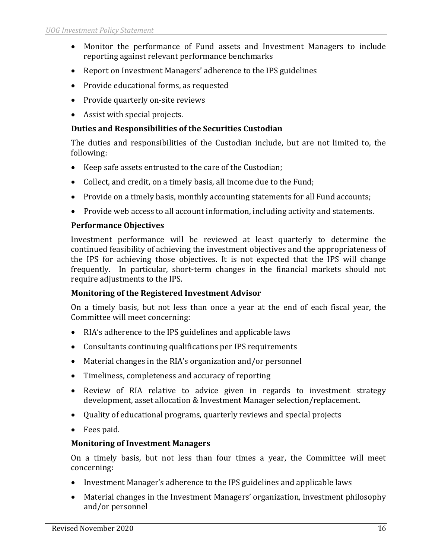- Monitor the performance of Fund assets and Investment Managers to include reporting against relevant performance benchmarks
- Report on Investment Managers' adherence to the IPS guidelines
- Provide educational forms, as requested
- Provide quarterly on-site reviews
- Assist with special projects.

### **Duties and Responsibilities of the Securities Custodian**

The duties and responsibilities of the Custodian include, but are not limited to, the following:

- Keep safe assets entrusted to the care of the Custodian;
- Collect, and credit, on a timely basis, all income due to the Fund;
- Provide on a timely basis, monthly accounting statements for all Fund accounts;
- Provide web access to all account information, including activity and statements.

### **Performance Objectives**

Investment performance will be reviewed at least quarterly to determine the continued feasibility of achieving the investment objectives and the appropriateness of the IPS for achieving those objectives. It is not expected that the IPS will change frequently. In particular, short-term changes in the financial markets should not require adjustments to the IPS.

### **Monitoring of the Registered Investment Advisor**

On a timely basis, but not less than once a year at the end of each fiscal year, the Committee will meet concerning:

- RIA's adherence to the IPS guidelines and applicable laws
- Consultants continuing qualifications per IPS requirements
- Material changes in the RIA's organization and/or personnel
- Timeliness, completeness and accuracy of reporting
- Review of RIA relative to advice given in regards to investment strategy development, asset allocation & Investment Manager selection/replacement.
- Quality of educational programs, quarterly reviews and special projects
- Fees paid.

### **Monitoring of Investment Managers**

On a timely basis, but not less than four times a year, the Committee will meet concerning:

- Investment Manager's adherence to the IPS guidelines and applicable laws
- Material changes in the Investment Managers' organization, investment philosophy and/or personnel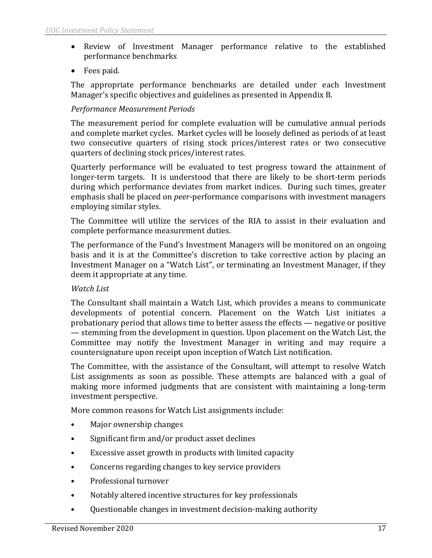- Review of Investment Manager performance relative to the established performance benchmarks
- Fees paid.

The appropriate performance benchmarks are detailed under each Investment Manager's specific objectives and guidelines as presented in Appendix B.

## *Performance Measurement Periods*

The measurement period for complete evaluation will be cumulative annual periods and complete market cycles. Market cycles will be loosely defined as periods of at least two consecutive quarters of rising stock prices/interest rates or two consecutive quarters of declining stock prices/interest rates.

Quarterly performance will be evaluated to test progress toward the attainment of longer-term targets. It is understood that there are likely to be short-term periods during which performance deviates from market indices. During such times, greater emphasis shall be placed on *peer*-performance comparisons with investment managers employing similar styles.

The Committee will utilize the services of the RIA to assist in their evaluation and complete performance measurement duties.

The performance of the Fund's Investment Managers will be monitored on an ongoing basis and it is at the Committee's discretion to take corrective action by placing an Investment Manager on a "Watch List", or terminating an Investment Manager, if they deem it appropriate at any time.

### *Watch List*

The Consultant shall maintain a Watch List, which provides a means to communicate developments of potential concern. Placement on the Watch List initiates a probationary period that allows time to better assess the effects — negative or positive — stemming from the development in question. Upon placement on the Watch List, the Committee may notify the Investment Manager in writing and may require a countersignature upon receipt upon inception of Watch List notification.

The Committee, with the assistance of the Consultant, will attempt to resolve Watch List assignments as soon as possible. These attempts are balanced with a goal of making more informed judgments that are consistent with maintaining a long-term investment perspective.

More common reasons for Watch List assignments include:

- Major ownership changes
- Significant firm and/or product asset declines
- Excessive asset growth in products with limited capacity
- Concerns regarding changes to key service providers
- Professional turnover
- Notably altered incentive structures for key professionals
- Questionable changes in investment decision-making authority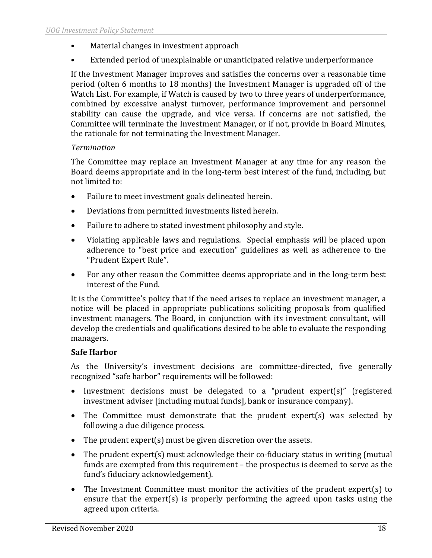- Material changes in investment approach
- Extended period of unexplainable or unanticipated relative underperformance

If the Investment Manager improves and satisfies the concerns over a reasonable time period (often 6 months to 18 months) the Investment Manager is upgraded off of the Watch List. For example, if Watch is caused by two to three years of underperformance, combined by excessive analyst turnover, performance improvement and personnel stability can cause the upgrade, and vice versa. If concerns are not satisfied, the Committee will terminate the Investment Manager, or if not, provide in Board Minutes, the rationale for not terminating the Investment Manager.

# *Termination*

The Committee may replace an Investment Manager at any time for any reason the Board deems appropriate and in the long-term best interest of the fund, including, but not limited to:

- Failure to meet investment goals delineated herein.
- Deviations from permitted investments listed herein.
- Failure to adhere to stated investment philosophy and style.
- Violating applicable laws and regulations. Special emphasis will be placed upon adherence to "best price and execution" guidelines as well as adherence to the "Prudent Expert Rule".
- For any other reason the Committee deems appropriate and in the long-term best interest of the Fund.

It is the Committee's policy that if the need arises to replace an investment manager, a notice will be placed in appropriate publications soliciting proposals from qualified investment managers. The Board, in conjunction with its investment consultant, will develop the credentials and qualifications desired to be able to evaluate the responding managers.

# **Safe Harbor**

As the University's investment decisions are committee-directed, five generally recognized "safe harbor" requirements will be followed:

- Investment decisions must be delegated to a "prudent expert(s)" (registered investment adviser [including mutual funds], bank or insurance company).
- The Committee must demonstrate that the prudent expert(s) was selected by following a due diligence process.
- The prudent expert(s) must be given discretion over the assets.
- The prudent expert(s) must acknowledge their co-fiduciary status in writing (mutual funds are exempted from this requirement – the prospectus is deemed to serve as the fund's fiduciary acknowledgement).
- The Investment Committee must monitor the activities of the prudent expert(s) to ensure that the expert(s) is properly performing the agreed upon tasks using the agreed upon criteria.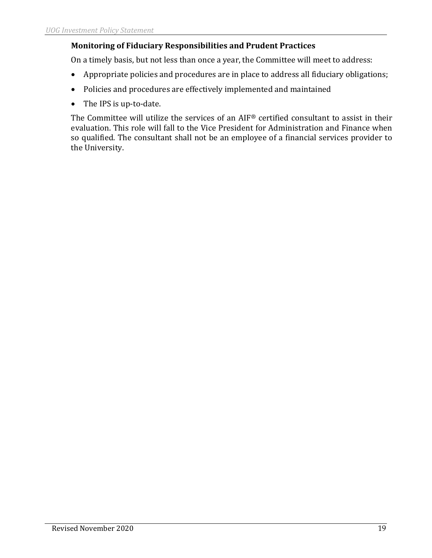# **Monitoring of Fiduciary Responsibilities and Prudent Practices**

On a timely basis, but not less than once a year, the Committee will meet to address:

- Appropriate policies and procedures are in place to address all fiduciary obligations;
- Policies and procedures are effectively implemented and maintained
- The IPS is up-to-date.

The Committee will utilize the services of an AIF® certified consultant to assist in their evaluation. This role will fall to the Vice President for Administration and Finance when so qualified. The consultant shall not be an employee of a financial services provider to the University.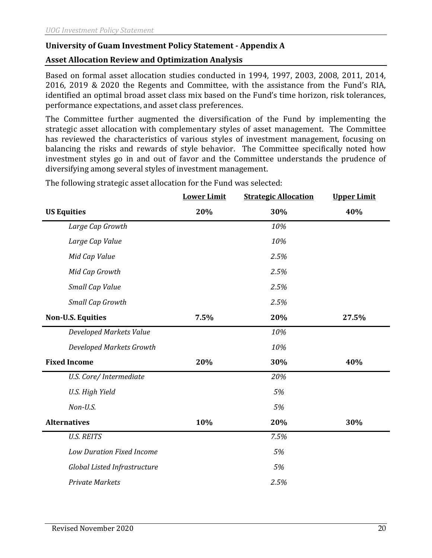# **University of Guam Investment Policy Statement - Appendix A**

# **Asset Allocation Review and Optimization Analysis**

Based on formal asset allocation studies conducted in 1994, 1997, 2003, 2008, 2011, 2014, 2016, 2019 & 2020 the Regents and Committee, with the assistance from the Fund's RIA, identified an optimal broad asset class mix based on the Fund's time horizon, risk tolerances, performance expectations, and asset class preferences.

The Committee further augmented the diversification of the Fund by implementing the strategic asset allocation with complementary styles of asset management. The Committee has reviewed the characteristics of various styles of investment management, focusing on balancing the risks and rewards of style behavior. The Committee specifically noted how investment styles go in and out of favor and the Committee understands the prudence of diversifying among several styles of investment management.

|                                  | <b>Lower Limit</b> | <b>Strategic Allocation</b> | <b>Upper Limit</b> |
|----------------------------------|--------------------|-----------------------------|--------------------|
| <b>US Equities</b>               | 20%                | 30%                         | 40%                |
| Large Cap Growth                 |                    | 10%                         |                    |
| Large Cap Value                  |                    | 10%                         |                    |
| Mid Cap Value                    |                    | 2.5%                        |                    |
| Mid Cap Growth                   |                    | 2.5%                        |                    |
| Small Cap Value                  |                    | 2.5%                        |                    |
| Small Cap Growth                 |                    | 2.5%                        |                    |
| <b>Non-U.S. Equities</b>         | 7.5%               | 20%                         | 27.5%              |
| Developed Markets Value          |                    | 10%                         |                    |
| Developed Markets Growth         |                    | 10%                         |                    |
| <b>Fixed Income</b>              | 20%                | 30%                         | 40%                |
| U.S. Core/ Intermediate          |                    | 20%                         |                    |
| U.S. High Yield                  |                    | 5%                          |                    |
| Non-U.S.                         |                    | 5%                          |                    |
| <b>Alternatives</b>              | 10%                | 20%                         | 30%                |
| <b>U.S. REITS</b>                |                    | 7.5%                        |                    |
| <b>Low Duration Fixed Income</b> |                    | 5%                          |                    |
| Global Listed Infrastructure     |                    | 5%                          |                    |
| <b>Private Markets</b>           |                    | 2.5%                        |                    |

The following strategic asset allocation for the Fund was selected: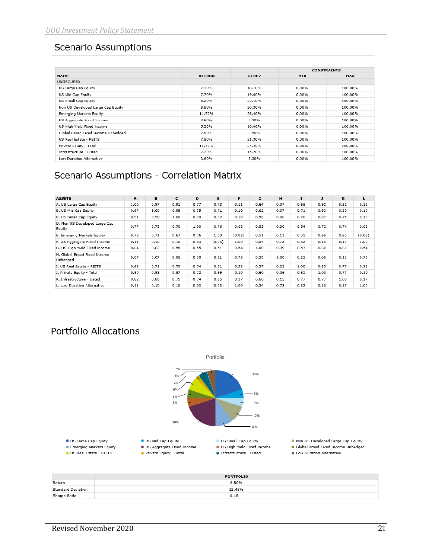# **Scenario Assumptions**

|                                    |               |              |       | <b>CONSTRAINTS</b> |
|------------------------------------|---------------|--------------|-------|--------------------|
| <b>NAME</b>                        | <b>RETURN</b> | <b>STDEV</b> | MIN   | <b>MAX</b>         |
| <b>UNGROUPED</b>                   |               |              |       |                    |
| US Large Cap Equity                | 7.10%         | 18.10%       | 0.00% | 100.00%            |
| US Mid Cap Equity                  | 7.70%         | 19.60%       | 0.00% | 100.00%            |
| US Small Cap Equity                | 8.20%         | 22.10%       | 0.00% | 100.00%            |
| Non US Developed Large Cap Equity  | 8.80%         | 20.30%       | 0.00% | 100.00%            |
| <b>Emerging Markets Equity</b>     | 11.70%        | 26.40%       | 0.00% | 100.00%            |
| US Aggregate Fixed Income          | 3.60%         | 5.30%        | 0.00% | 100.00%            |
| US High Yield Fixed income         | 5.20%         | 10.00%       | 0.00% | 100.00%            |
| Global Broad Fixed Income Unhedged | 2.80%         | 6.50%        | 0.00% | 100.00%            |
| US Real Estate - REITS             | 7.80%         | 21.30%       | 0.00% | 100.00%            |
| Private Equity - Total             | 11.40%        | 24.40%       | 0.00% | 100.00%            |
| Infrastructure - Listed            | 7.20%         | 15.20%       | 0.00% | 100.00%            |
| Low Duration Alternative           | 3.60%         | 5.30%        | 0.00% | 100.00%            |

# Scenario Assumptions - Correlation Matrix

| <b>ASSETS</b>                            | $\mathbf{A}$ | B    | C    | D    | E      | F      | G    | H    | $\mathbf{I}$ | $\mathbf{J}$ | к    | L      |
|------------------------------------------|--------------|------|------|------|--------|--------|------|------|--------------|--------------|------|--------|
| A. US Large Cap Equity                   | 1.00         | 0.97 | 0.91 | 0.77 | 0.73   | 0.11   | 0.64 | 0.07 | 0.68         | 0.95         | 0.82 | 0.11   |
| B. US Mid Cap Equity                     | 0.97         | 1.00 | 0.98 | 0.75 | 0.71   | 0.10   | 0.62 | 0.07 | 0.71         | 0.93         | 0.80 | 0.10   |
| C. US Small Cap Equity                   | 0.91         | 0.98 | 1.00 | 0.70 | 0.67   | 0.10   | 0.58 | 0.06 | 0.70         | 0.87         | 0.75 | 0.10   |
| D. Non US Developed Large Cap<br>Equity  | 0.77         | 0.75 | 0.70 | 1.00 | 0.76   | 0.03   | 0.55 | 0.30 | 0.54         | 0.72         | 0.74 | 0.03   |
| E. Emerging Markets Equity               | 0.73         | 0.71 | 0.67 | 0.76 | 1.00   | (0.03) | 0.51 | 0.11 | 0.51         | 0.69         | 0.65 | (0.03) |
| F. US Aggregate Fixed Income             | 0.11         | 0.10 | 0.10 | 0.03 | (0.03) | 1.00   | 0.54 | 0.73 | 0.32         | 0.10         | 0.17 | 1.00   |
| G. US High Yield Fixed income            | 0.64         | 0.62 | 0.58 | 0.55 | 0.51   | 0.54   | 1.00 | 0.39 | 0.57         | 0.60         | 0.60 | 0.54   |
| H. Global Broad Fixed Income<br>Unhedged | 0.07         | 0.07 | 0.06 | 0.30 | 0.11   | 0.73   | 0.39 | 1.00 | 0.23         | 0.06         | 0.13 | 0.73   |
| I. US Real Estate - REITS                | 0.68         | 0.71 | 0.70 | 0.54 | 0.51   | 0.32   | 0.57 | 0.23 | 1.00         | 0.65         | 0.77 | 0.32   |
| J. Private Equity - Total                | 0.95         | 0.93 | 0.87 | 0.72 | 0.69   | 0.10   | 0.60 | 0.06 | 0.65         | 1.00         | 0.77 | 0.10   |
| K. Infrastructure - Listed               | 0.82         | 0.80 | 0.75 | 0.74 | 0.65   | 0.17   | 0.60 | 0.13 | 0.77         | 0.77         | 1.00 | 0.17   |
| L. Low Duration Alternative              | 0.11         | 0.10 | 0.10 | 0.03 | (0.03) | 1.00   | 0.54 | 0.73 | 0.32         | 0.10         | 0.17 | 1.00   |

# **Portfolio Allocations**



|                    | <b>PORTFOLIO</b> |
|--------------------|------------------|
| Return             | 6.80%            |
| Standard Deviation | 12.48%           |
| Sharpe Ratio       | 0.18             |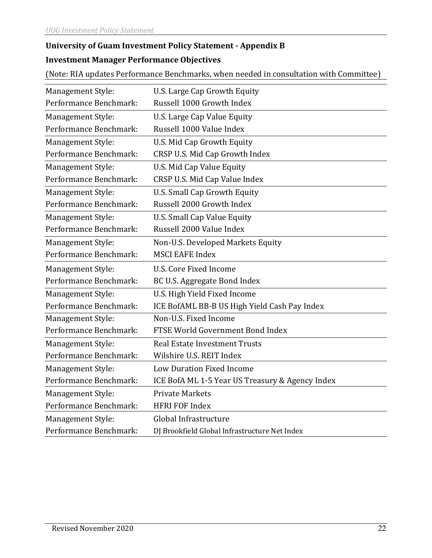# **University of Guam Investment Policy Statement - Appendix B**

# **Investment Manager Performance Objectives**

(Note: RIA updates Performance Benchmarks, when needed in consultation with Committee)

| Management Style:        | U.S. Large Cap Growth Equity                    |
|--------------------------|-------------------------------------------------|
| Performance Benchmark:   | Russell 1000 Growth Index                       |
| Management Style:        | U.S. Large Cap Value Equity                     |
| Performance Benchmark:   | Russell 1000 Value Index                        |
| Management Style:        | U.S. Mid Cap Growth Equity                      |
| Performance Benchmark:   | CRSP U.S. Mid Cap Growth Index                  |
| <b>Management Style:</b> | U.S. Mid Cap Value Equity                       |
| Performance Benchmark:   | CRSP U.S. Mid Cap Value Index                   |
| Management Style:        | <b>U.S. Small Cap Growth Equity</b>             |
| Performance Benchmark:   | Russell 2000 Growth Index                       |
| Management Style:        | <b>U.S. Small Cap Value Equity</b>              |
| Performance Benchmark:   | Russell 2000 Value Index                        |
| Management Style:        | Non-U.S. Developed Markets Equity               |
| Performance Benchmark:   | <b>MSCI EAFE Index</b>                          |
| Management Style:        | U.S. Core Fixed Income                          |
| Performance Benchmark:   | BC U.S. Aggregate Bond Index                    |
| Management Style:        | U.S. High Yield Fixed Income                    |
| Performance Benchmark:   | ICE BofAML BB-B US High Yield Cash Pay Index    |
| Management Style:        | Non-U.S. Fixed Income                           |
| Performance Benchmark:   | FTSE World Government Bond Index                |
| <b>Management Style:</b> | <b>Real Estate Investment Trusts</b>            |
| Performance Benchmark:   | Wilshire U.S. REIT Index                        |
| <b>Management Style:</b> | Low Duration Fixed Income                       |
| Performance Benchmark:   | ICE BofA ML 1-5 Year US Treasury & Agency Index |
| Management Style:        | <b>Private Markets</b>                          |
| Performance Benchmark:   | <b>HFRI FOF Index</b>                           |
| Management Style:        | Global Infrastructure                           |
|                          |                                                 |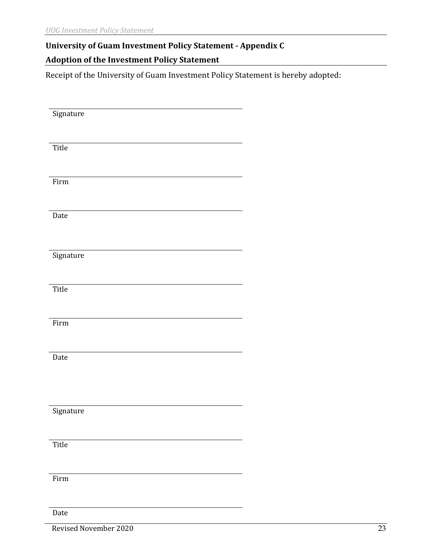# **University of Guam Investment Policy Statement - Appendix C**

# **Adoption of the Investment Policy Statement**

Receipt of the University of Guam Investment Policy Statement is hereby adopted:

| Signature |  |
|-----------|--|
|           |  |
|           |  |
|           |  |
|           |  |
| Title     |  |
|           |  |
|           |  |
|           |  |
|           |  |
| Firm      |  |
|           |  |
|           |  |
|           |  |
|           |  |
| Date      |  |
|           |  |
|           |  |
|           |  |
|           |  |
| Signature |  |
|           |  |
|           |  |
|           |  |
|           |  |
| Title     |  |
|           |  |
|           |  |
|           |  |
|           |  |
| Firm      |  |
|           |  |
|           |  |
|           |  |
|           |  |
| Date      |  |
|           |  |
|           |  |
|           |  |
|           |  |
|           |  |
|           |  |
|           |  |
| Signature |  |
|           |  |
|           |  |
|           |  |
|           |  |
| Title     |  |
|           |  |
|           |  |
|           |  |
|           |  |
| Firm      |  |
|           |  |
|           |  |
|           |  |
|           |  |
| Date      |  |

Revised November 2020 23